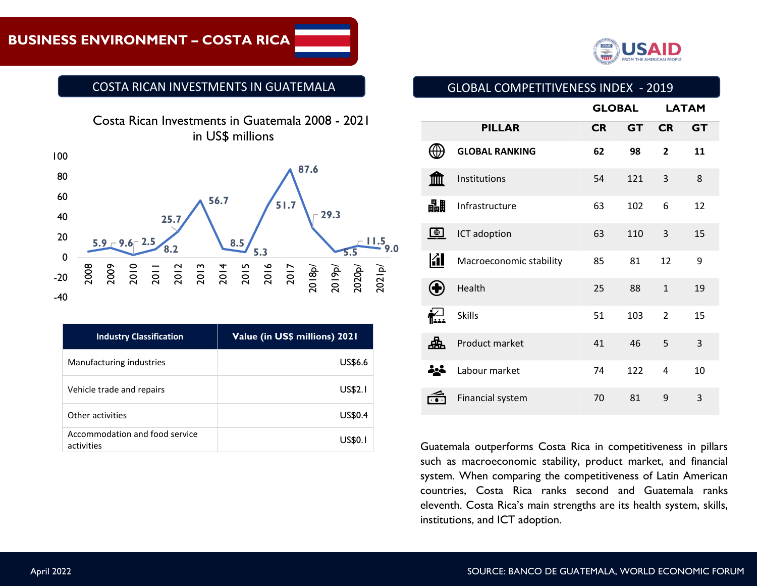## **BUSINESS ENVIRONMENT – COSTA RICA**



#### COSTA RICAN INVESTMENTS IN GUATEMALA



| <b>Industry Classification</b>               | Value (in US\$ millions) 2021 |
|----------------------------------------------|-------------------------------|
| Manufacturing industries                     | <b>US\$6.6</b>                |
| Vehicle trade and repairs                    | US\$2.1                       |
| Other activities                             | US\$0.4                       |
| Accommodation and food service<br>activities | US\$(                         |

#### GLOBAL COMPETITIVENESS INDEX - 2019

|             |                         | <b>GLOBAL</b> |           | <b>LATAM</b>   |           |
|-------------|-------------------------|---------------|-----------|----------------|-----------|
|             | <b>PILLAR</b>           | <b>CR</b>     | <b>GT</b> | <b>CR</b>      | <b>GT</b> |
|             | <b>GLOBAL RANKING</b>   | 62            | 98        | $\overline{2}$ | 11        |
| 笽           | Institutions            | 54            | 121       | 3              | 8         |
| 畾           | Infrastructure          | 63            | 102       | 6              | 12        |
| $\bigoplus$ | ICT adoption            | 63            | 110       | 3              | 15        |
| <b>REA</b>  | Macroeconomic stability | 85            | 81        | 12             | 9         |
|             | Health                  | 25            | 88        | $\mathbf{1}$   | 19        |
|             | <b>Skills</b>           | 51            | 103       | $\overline{2}$ | 15        |
| 忠           | Product market          | 41            | 46        | 5              | 3         |
| -22         | Labour market           | 74            | 122       | 4              | 10        |
|             | Financial system        | 70            | 81        | 9              | 3         |

Guatemala outperforms Costa Rica in competitiveness in pillars such as macroeconomic stability, product market, and financial system. When comparing the competitiveness of Latin American countries, Costa Rica ranks second and Guatemala ranks eleventh. Costa Rica's main strengths are its health system, skills, institutions, and ICT adoption.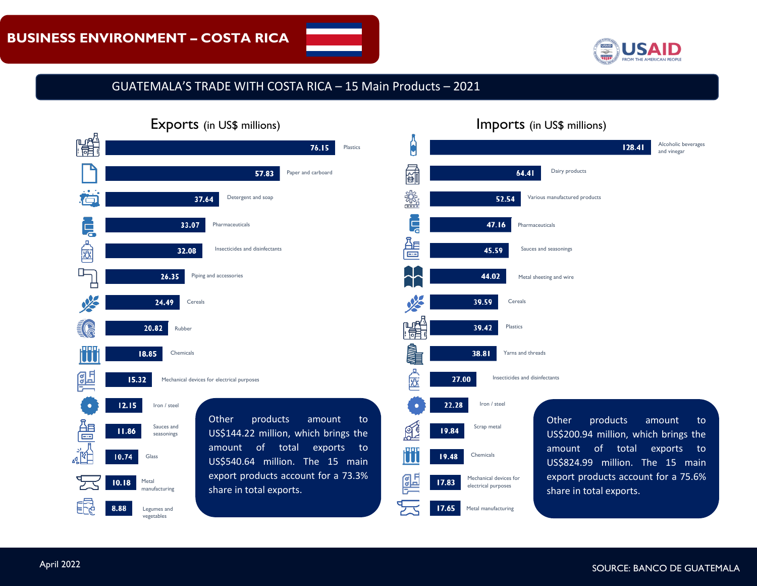

#### GUATEMALA'S TRADE WITH COSTA RICA – 15 Main Products – 2021

|   | $\sim$ . The state in the state is a set of $\sim$                                                             |
|---|----------------------------------------------------------------------------------------------------------------|
|   | 76.15<br><b>Plastics</b>                                                                                       |
|   | 57.83<br>Paper and carboard                                                                                    |
|   | Detergent and soap<br>37.64                                                                                    |
| Ę | 33.07<br>Pharmaceuticals                                                                                       |
|   | Insecticides and disinfectants<br>32.08                                                                        |
|   | Piping and accessories<br>26.35                                                                                |
|   | 24.49<br>Cereals                                                                                               |
|   | 20.82<br>Rubber                                                                                                |
|   | 18.85<br>Chemicals                                                                                             |
|   | 15.32<br>Mechanical devices for electrical purposes                                                            |
|   | 12.15<br>Iron / steel                                                                                          |
|   | Other<br>products<br>amount<br>to<br>Sauces and<br>11.86<br>US\$144.22 million, which brings the<br>seasonings |
|   | of<br>amount<br>total<br>exports<br>to<br>10.74<br>Glass<br>million. The 15 main<br>US\$540.64                 |
|   | export products account for a 73.3%<br>10.18<br>Metal<br>share in total exports.<br>manufacturing              |
|   | 8.88<br>Legumes and<br>vegetables                                                                              |

### Exports (in US\$ millions) and in the later of the later of the later of the later of the later of the later of the later of the later of the later of the later of the later of the later of the later of the later of the lat

#### Alcoholic beverages 128.41 and vinegar 品 Dairy products 64.41 懲 Various manufactured products 52.54 Ę 47.16 Pharmaceuticals લੈ 45.59 Sauces and seasonings 44.02 Metal sheeting and wire 39.59 Cereals 鶅 Plastics 39.42 **NIMIK** 38.81 Yarns and threads Insecticides and disinfectants छि 27.00 22.28 Iron / steel Other products amount to Scrap metal ⊗′€ 19.84 US\$200.94 million, which brings the amount of total exports to Chemicals 19.48 U US\$824.99 million. The 15 main export products account for a 75.6% <u>erg</u> Mechanical devices for 17.83 electrical purposes share in total exports.  $17.65$ Metal manufacturing

April 2022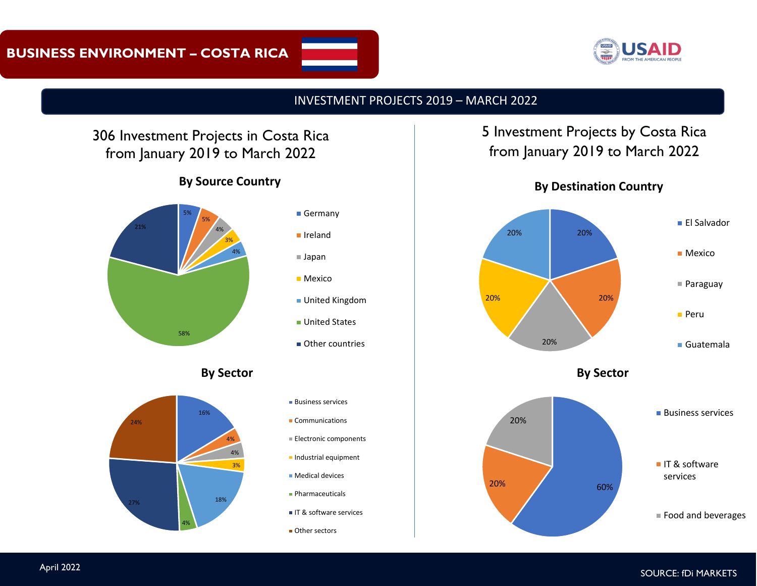

#### INVESTMENT PROJECTS 2019 – MARCH 2022

# 306 Investment Projects in Costa Rica from January 2019 to March 2022

#### **By Source Country**



**By Sector**



- **Business services**
- Communications
- **Electronic components**
- **Industrial equipment**
- Medical devices
- **Pharmaceuticals**
- IT & software services
- **Other sectors**

# 5 Investment Projects by Costa Rica from January 2019 to March 2022